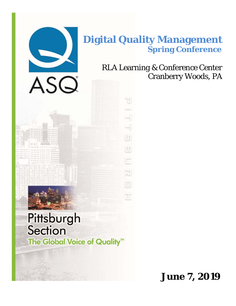

# **Digital Quality Management Spring Conference**

Ľ

i<br>Li

UD)

 $\begin{tabular}{|c|c|} \hline 0 & 0 \\ \hline \end{tabular}$ 

E

迦

同

þη

RLA Learning & Conference Center Cranberry Woods, PA



 **June 7, 2019**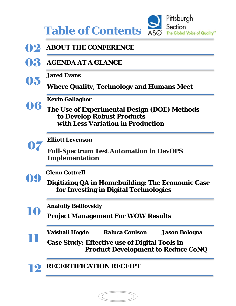Pittsburgh Section  **Table of Contents** The Global Voice of Quality<sup>\*\*</sup>

**12 ABOUT THE CONFERENCE AGENDA AT A GLANCE Jared Evans Where Quality, Technology and Humans Meet Kevin Gallagher The Use of Experimental Design (DOE) Methods to Develop Robust Products with Less Variation in Production Elliott Levenson Full-Spectrum Test Automation in DevOPS Implementation Glenn Cottrell Digitizing QA in Homebuilding: The Economic Case for Investing in Digital Technologies Anatoliy Belilovskiy Project Management For WOW Results Vaishali Hegde Raluca Coulson Jason Bologna Case Study: Effective use of Digital Tools in Product Development to Reduce CoNQ RECERTIFICATION RECEIPT**  06 07 09 03 11 05 10 12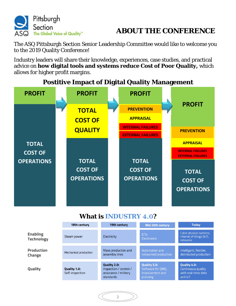



The ASQ Pittsburgh Section Senior Leadership Committee would like to welcome you to the 2019 Quality Conference!

Industry leaders will share their knowledge, experiences, case studies, and practical advice on **how digital tools and systems reduce Cost of Poor Quality,** which allows for higher profit margins.



# **Postitive Impact of Digital Quality Management**

# **What is INDUSTRY** 4.0**?**

|                                      | 18th century                    | 19th century                                                                | <b>Mid 20th century</b>                                          | <b>Today</b>                                                                       |  |
|--------------------------------------|---------------------------------|-----------------------------------------------------------------------------|------------------------------------------------------------------|------------------------------------------------------------------------------------|--|
| <b>Enabling</b><br><b>Technology</b> | Steam power                     | Electricity                                                                 | <b>ICTs</b><br>Electronics                                       | Cyber physical systems,<br>Internet of things (IoT),<br>networks                   |  |
| Production<br>Change                 | Mechanical production           | Mass production and<br>assembly lines                                       | Automation and<br>networked production                           | Intelligent, flexible,<br>distributed production                                   |  |
| Quality                              | Quality 1.0:<br>Self-inspection | Quality 2.0:<br>Inspection / control /<br>assurance / military<br>standards | Quality 3.0:<br>Software for QMS,<br>improvement and<br>planning | <b>Quality 4.0:</b><br><b>Continuous quality</b><br>with real-time data<br>and loT |  |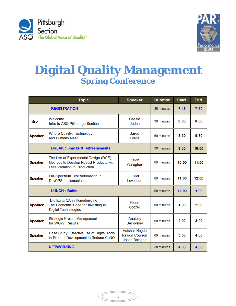



# **Digital Quality Management Spring Conference**

|                | <b>Topic</b>                                                                                                           | <b>Speaker</b>                                    | <b>Duration</b> | <b>Start</b> | <b>End</b> |
|----------------|------------------------------------------------------------------------------------------------------------------------|---------------------------------------------------|-----------------|--------------|------------|
|                | <b>REGISTRATION</b>                                                                                                    | 35 minutes                                        | 7:15            | 7:50         |            |
| <b>Intro</b>   | Welcome<br>Intro to ASQ Pittsburgh Section                                                                             | Cassie<br>Jodon                                   | 30 minutes      | 8:00         | 8:30       |
| <b>Speaker</b> | <b>Where Quality, Technology</b><br>and Humans Meet                                                                    | Jared<br><b>Evans</b>                             | 60 minutes      | 8:30         | 9:30       |
|                | <b>BREAK: Snacks &amp; Refreshements</b>                                                                               | 30 minutes                                        | 9:30            | 10:00        |            |
| <b>Speaker</b> | The Use of Experimental Design (DOE)<br>Methods to Develop Robust Products with<br><b>Less Variation in Production</b> | Kevin<br>Gallagher                                | 60 minutes      | 10:00        | 11:00      |
| <b>Speaker</b> | Full-Spectrum Test Automation in<br><b>DevOPS Implementation</b>                                                       | <b>Elliot</b><br>Levenson                         | 60 minutes      | 11:00        | 12:00      |
|                | <b>LUNCH: Buffet</b>                                                                                                   | 60 minutes                                        | 12:00           | 1:00         |            |
| <b>Speaker</b> | Digitizing QA in Homebuilding:<br>The Economic Case for Investing in<br><b>Digital Technologies</b>                    | Glenn<br>Cottrell                                 | 60 minutes      | 1:00         | 2:00       |
| <b>Speaker</b> | <b>Strategic Project Management</b><br>for WOW! Results                                                                | Anatoliy<br><b>Belilovskiy</b>                    | 60 minutes      | 2:00         | 3:00       |
| <b>Speaker</b> | Case Study: Effective use of Digital Tools<br>in Product Development to Reduce CoNQ                                    | Vaishali Hegde<br>Raluca Coulson<br>Jason Bologna | 60 minutes      | 3:00         | 4:00       |
|                | <b>NETWORKING</b>                                                                                                      |                                                   | 30 minutes      | 4:00         | 4:30       |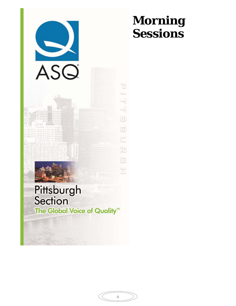

# **Morning Sessions**

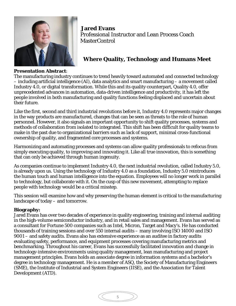

 **Jared Evans**  Professional Instructor and Lean Process Coach **MasterControl** 

# **Where Quality, Technology and Humans Meet**

### **Presentation Abstract**:

The manufacturing industry continues to trend heavily toward automated and connected technology – including artificial intelligence (AI), data analytics and smart manufacturing – a movement called Industry 4.0, or digital transformation. While this and its quality counterpart, Quality 4.0, offer unprecedented advances in automation, data-driven intelligence and productivity, it has left the people involved in both manufacturing and quality functions feeling displaced and uncertain about their future.

Like the first, second and third industrial revolutions before it, Industry 4.0 represents major changes in the way products are manufactured, changes that can be seen as threats to the role of human personnel. However, it also signals an important opportunity to shift quality processes, systems and methods of collaboration from isolated to integrated. This shift has been difficult for quality teams to make in the past due to organizational barriers such as lack of support, minimal cross-functional ownership of quality, and fragmented core processes and systems.

Harmonizing and automating processes and systems can allow quality professionals to refocus from simply executing quality, to improving and innovating it. Like all true innovation, this is something that can only be achieved through human ingenuity.

As companies continue to implement Industry 4.0, the next industrial revolution, called Industry 5.0, is already upon us. Using the technology of Industry 4.0 as a foundation, Industry 5.0 reintroduces the human touch and human intelligence into the equation. Employees will no longer work in parallel to technology, but collaborate with it. On the cusp of this new movement, attempting to replace people with technology would be a critical misstep.

This session will examine how and why preserving the human element is critical to the manufacturing landscape of today – and tomorrow.

### **Biography:**

Jared Evans has over two decades of experience in quality engineering, training and internal auditing in the high-volume semiconductor industry, and in retail sales and management. Evans has served as a consultant for Fortune 500 companies such as Intel, Micron, Target and Macy's. He has conducted thousands of training sessions and over 550 internal audits – many involving ISO 14000 and ISO 9001 – and safety audits. Evans also has extensive experience as an auditee in factory audits evaluating safety, performance, and equipment processes covering manufacturing metrics and benchmarking. Throughout his career, Evans has successfully facilitated innovation and change in technology-intensive environments using quality management, lean manufacturing and project management principles. Evans holds an associate degree in information systems and a bachelor's degree in technology management. He is a member of ASQ, the Society of Manufacturing Engineers (SME), the Institute of Industrial and System Engineers (IISE), and the Association for Talent Development (ATD).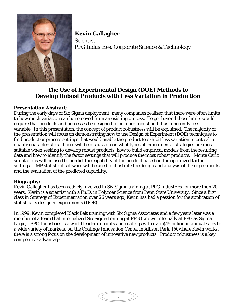

 **Kevin Gallagher Scientist** PPG Industries, Corporate Science & Technology

# **The Use of Experimental Design (DOE) Methods to Develop Robust Products with Less Variation in Production**

### **Presentation Abstract**:

During the early days of Six Sigma deployment, many companies realized that there were often limits to how much variation can be removed from an existing process. To get beyond those limits would require that products and processes be designed to be more robust and thus inherently less variable. In this presentation, the concept of product robustness will be explained. The majority of the presentation will focus on demonstrating how to use Design of Experiment (DOE) techniques to find product or process settings that would enable the product to exhibit less variation in critical-toquality characteristics. There will be discussion on what types of experimental strategies are most suitable when seeking to develop robust products, how to build empirical models from the resulting data and how to identify the factor settings that will produce the most robust products. Monte Carlo simulations will be used to predict the capability of the product based on the optimized factor settings. JMP statistical software will be used to illustrate the design and analysis of the experiments and the evaluation of the predicted capability.

#### **Biography:**

Kevin Gallagher has been actively involved in Six Sigma training at PPG Industries for more than 20 years. Kevin is a scientist with a Ph.D. in Polymer Science from Penn State University. Since a first class in Strategy of Experimentation over 26 years ago, Kevin has had a passion for the application of statistically designed experiments (DOE).

In 1999, Kevin completed Black Belt training with Six Sigma Associates and a few years later was a member of a team that internalized Six Sigma training at PPG (known internally at PPG as Sigma Logic). PPG Industries is a world leader in paints and coatings with over \$15 billion in annual sales to a wide variety of markets. At the Coatings Innovation Center in Allison Park, PA where Kevin works, there is a strong focus on the development of innovative new products. Product robustness is a key competitive advantage.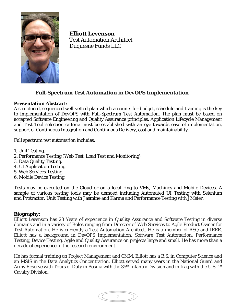

**Elliott Levenson** Test Automation Architect Duquesne Funds LLC

## **Full-Spectrum Test Automation in DevOPS Implementation**

### **Presentation Abstract**:

A structured, sequenced well-vetted plan which accounts for budget, schedule and training is the key to implementation of DevOPS with Full-Spectrum Test Automation. The plan must be based on accepted Software Engineering and Quality Assurance principles. Application Lifecycle Management and Test Tool selection criteria must be established with an eye towards ease of implementation, support of Continuous Integration and Continuous Delivery, cost and maintainability.

Full spectrum test automation includes:

- 1. Unit Testing.
- 2. Performance Testing (Web Test, Load Test and Monitoring)
- 3. Data Quality Testing.
- 4. UI Application Testing.
- 5. Web Services Testing.
- 6. Mobile Device Testing.

Tests may be executed on the Cloud or on a local ring to VMs, Machines and Mobile Devices. A sample of various testing tools may be demoed including Automated UI Testing with Selenium and Protractor; Unit Testing with Jasmine and Karma and Performance Testing with JMeter.

#### **Biography:**

Elliott Levenson has 23 Years of experience in Quality Assurance and Software Testing in diverse domains and in a variety of Roles ranging from Director of Web Services to Agile Product Owner for Test Automation. He is currently a Test Automation Architect. He is a member of ASQ and IEEE. Elliott has a background in DevOPS Implementation, Software Test Automation, Performance Testing, Device Testing, Agile and Quality Assurance on projects large and small. He has more than a decade of experience in the research environment.

He has formal training on Project Management and CMM. Elliott has a B.S. in Computer Science and an MSIS in the Data Analytics Concentration. Elliott served many years in the National Guard and Army Reserve with Tours of Duty in Bosnia with the 35<sup>th</sup> Infantry Division and in Iraq with the U.S. 1<sup>st</sup> Cavalry Division.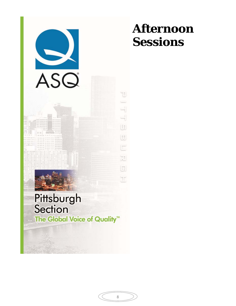

# **Afternoon Sessions**

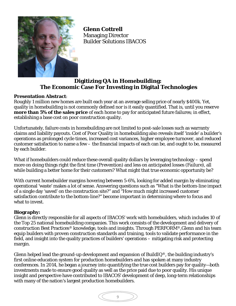

 **Glenn Cottrell** Managing Director Builder Solutions IBACOS

# **Digitizing QA in Homebuilding: The Economic Case For Investing in Digital Technologies**

### **Presentation Abstract**:

Roughly 1 million new homes are built each year at an average selling price of nearly \$400k. Yet, quality in homebuilding is not commonly defined nor is it easily quantified. That is, until you reserve **more than 5% of the sales price** of each home to pay for anticipated future failures; in effect, establishing a base cost on poor construction quality.

Unfortunately, failure costs in homebuilding are not limited to post-sale losses such as warranty claims and liability payouts. Cost of Poor Quality in homebuilding also reveals itself 'inside' a builder's operations as prolonged cycle times, increased cost variances, higher employee turnover, and reduced customer satisfaction to name a few – the financial impacts of each can be, and ought to be, measured by each builder.

What if homebuilders could reduce these overall quality dollars by leveraging technology – spend more on doing things right the first time *(Prevention)* and less on anticipated losses *(Failure)*, all while building a better home for their customers? What might that true economic opportunity be?

With current homebuilder margins hovering between 5-6%, looking for added margin by eliminating operational 'waste' makes a lot of sense. Answering questions such as "What is the bottom-line impact of a single day 'saved' on the construction site?" and "How much might increased customer satisfaction contribute to the bottom-line?" become important in determining where to focus and what to invest.

### **Biography:**

Glenn is directly responsible for all aspects of IBACOS' work with homebuilders, which includes 10 of the Top 25 national homebuilding companies. This work consists of the development and delivery of construction Best Practices® knowledge, tools and insights. Through PERFORM®,Glenn and his team equip builders with proven construction standards and training, tools to validate performance in the field, and insight into the quality practices of builders' operations – mitigating risk and protecting margin.

Glenn helped lead the ground-up development and expansion of BuildIQ<sup>®</sup>, the building industry's first online education system for production homebuilders and has spoken at many industry conferences. In 2014, he began a journey into quantifying the true cost builders pay for quality—both investments made to ensure good quality as well as the price paid due to poor quality. His unique insight and perspective have contributed to IBACOS' development of deep, long-term relationships with many of the nation's largest production homebuilders.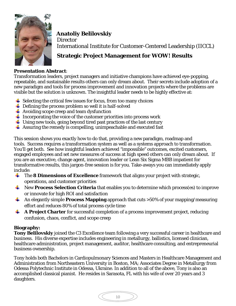

 **Anatoliy Belilovskiy Director** International Institute for Customer-Centered Leadership (IICCL)

# **Strategic Project Management for WOW! Results**

### **Presentation Abstract**:

Transformation leaders, project managers and initiative champions have achieved eye-popping, repeatable, and sustainable results others can only dream about. Their secrets include adoption of a new paradigm and tools for process improvement and innovation projects where the problems are visible but the solution is unknown. The insightful leader needs to be highly effective at:

- $\frac{1}{\sqrt{2}}$  Selecting the critical few issues for focus, from too many choices
- $\overline{\phantom{a}}$  Defining the process problem so well it is half-solved
- $\downarrow$  Avoiding scope creep and team dysfunction
- $\perp$  Incorporating the voice of the customer priorities into process work
- $\perp$  Using new tools, going beyond tired past practices of the last century
- $\overline{\phantom{a}}$  Assuring the remedy is compelling, unimpeachable and executed fast

This session shows you exactly how to do that, providing a new paradigm, roadmap and tools. Success requires a transformation system as well as a systems approach to transformation. You'll get both. See how insightful leaders achieved "impossible" outcomes, excited customers, engaged employees and set new measures of success at high speed others can only dream about. If you are an executive, change agent, innovation leader or Lean Six Sigma MBB impatient for transformative results, this jargon-free session is for you. Take-aways you can immediately apply include:

- **The 8 Dimensions of Excellence** framework that aligns your project with strategic, operations, and customer priorities
- **WE** New **Process Selection Criteria** that enables you to determine which process(es) to improve or innovate for high ROI and satisfaction
- An elegantly simple **Process Mapping** approach that cuts >50% of your mapping/measuring effort and reduces 80% of total process cycle time
- ۰. **A Project Charter** for successful completion of a process improvement project, reducing confusion, chaos, conflict, and scope creep

### **Biography:**

**Tony Belilovskiy** joined the C3 Excellence team following a very successful career in healthcare and business. His diverse expertise includes engineering in metallurgy, ballistics, licensed clinician, healthcare administration, project management, auditor, healthcare consulting, and entrepreneurial business ownership.

Tony holds both Bachelors in Cardiopulmonary Sciences and Masters in Healthcare Management and Administration from Northeastern University in Boston, MA; Associates Degree in Metallurgy from Odessa Polytechnic Institute in Odessa, Ukraine. In addition to all of the above, Tony is also an accomplished classical pianist. He resides in Sarasota, FL with his wife of over 20 years and 3 daughters.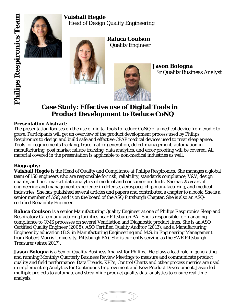# **Vaishali Hegde**

Head of Design Quality Engineering





 **Raluca Coulson** Quality Engineer



 **Jason Bologna** Sr Quality Business Analyst

# **Case Study: Effective use of Digital Tools in Product Development to Reduce CoNQ**

## **Presentation Abstract**:

The presentation focuses on the use of digital tools to reduce CoNQ of a medical device from cradle to grave. Participants will get an overview of the product development process used by Philips Respironics to design and build safe and effective CPAP medical devices used to treat sleep apnea. Tools for requirements tracking, trace matrix generation, defect management, automation in manufacturing, post market failure tracking, data analytics, and error proofing will be covered. All material covered in the presentation is applicable to non-medical industries as well.

# **Biography:**

ľ

**Vaishali Hegde** is the Head of Quality and Compliance at Philips Respironics. She manages a global team of 150 engineers who are responsible for risk, reliability, standards compliance, V&V, design quality, and post market data analytics of medical and consumer products. She has 25 years of engineering and management experience in defense, aerospace, chip manufacturing, and medical industries. She has published several articles and papers and contributed a chapter to a book. She is a senior member of ASQ and is on the board of the ASQ Pittsburgh Chapter. She is also an ASQcertified Reliability Engineer.

**Raluca Coulson** is a senior Manufacturing Quality Engineer at one of Philips Respironics Sleep and Respiratory Care manufacturing facilities near Pittsburgh PA. She is responsible for managing compliance to QMS processes on several Ventilation and Diagnostic product lines. She is an ASQ Certified Quality Engineer (2008), ASQ Certified Quality Auditor (2013), and a Manufacturing Engineer by education (B.S. in Manufacturing Engineering and M.S. in Engineering Management from Robert Morris University, Pittsburgh PA). She is currently serving as the SWE Pittsburgh Treasurer (since 2017).

**Jason Bologna** is a Senior Quality Business Analyst for Philips. He plays a lead role in generating and running Monthly/Quarterly Business Review Meetings to measure and communicate product quality and field performance. Data Trends, KPI's, Control Charts and other process metrics are used in implementing Analytics for Continuous Improvement and New Product Development. Jason led multiple projects to automate and streamline product quality data analytics to ensure real time analysis.